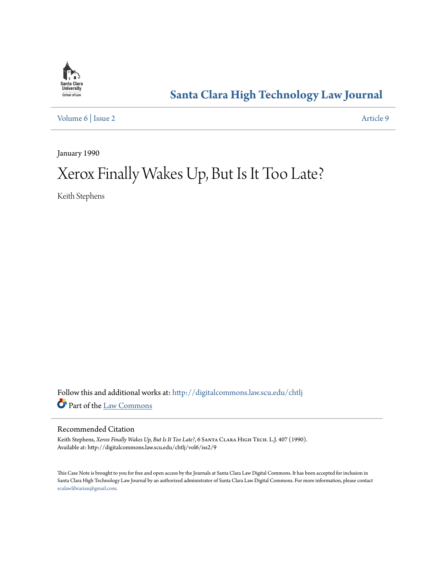

# **[Santa Clara High Technology Law Journal](http://digitalcommons.law.scu.edu/chtlj?utm_source=digitalcommons.law.scu.edu%2Fchtlj%2Fvol6%2Fiss2%2F9&utm_medium=PDF&utm_campaign=PDFCoverPages)**

[Volume 6](http://digitalcommons.law.scu.edu/chtlj/vol6?utm_source=digitalcommons.law.scu.edu%2Fchtlj%2Fvol6%2Fiss2%2F9&utm_medium=PDF&utm_campaign=PDFCoverPages) | [Issue 2](http://digitalcommons.law.scu.edu/chtlj/vol6/iss2?utm_source=digitalcommons.law.scu.edu%2Fchtlj%2Fvol6%2Fiss2%2F9&utm_medium=PDF&utm_campaign=PDFCoverPages) [Article 9](http://digitalcommons.law.scu.edu/chtlj/vol6/iss2/9?utm_source=digitalcommons.law.scu.edu%2Fchtlj%2Fvol6%2Fiss2%2F9&utm_medium=PDF&utm_campaign=PDFCoverPages)

January 1990

# Xerox Finally Wakes Up, But Is It Too Late?

Keith Stephens

Follow this and additional works at: [http://digitalcommons.law.scu.edu/chtlj](http://digitalcommons.law.scu.edu/chtlj?utm_source=digitalcommons.law.scu.edu%2Fchtlj%2Fvol6%2Fiss2%2F9&utm_medium=PDF&utm_campaign=PDFCoverPages) Part of the [Law Commons](http://network.bepress.com/hgg/discipline/578?utm_source=digitalcommons.law.scu.edu%2Fchtlj%2Fvol6%2Fiss2%2F9&utm_medium=PDF&utm_campaign=PDFCoverPages)

# Recommended Citation

Keith Stephens, *Xerox Finally Wakes Up, But Is It Too Late?*, 6 SANTA CLARA HIGH TECH. L.J. 407 (1990). Available at: http://digitalcommons.law.scu.edu/chtlj/vol6/iss2/9

This Case Note is brought to you for free and open access by the Journals at Santa Clara Law Digital Commons. It has been accepted for inclusion in Santa Clara High Technology Law Journal by an authorized administrator of Santa Clara Law Digital Commons. For more information, please contact [sculawlibrarian@gmail.com](mailto:sculawlibrarian@gmail.com).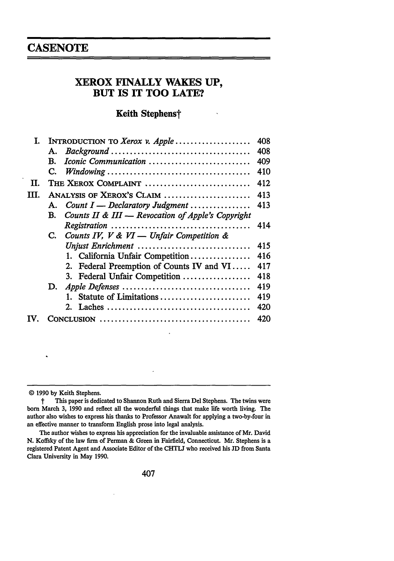# **CASENOTE**

# **XEROX FINALLY WAKES UP, BUT IS IT TOO LATE?**

# Keith Stephens†

| L. |                                                             | 408 |
|----|-------------------------------------------------------------|-----|
|    | А.                                                          | 408 |
|    | Iconic Communication<br>В.                                  | 409 |
|    | C.                                                          | 410 |
| П. | THE XEROX COMPLAINT                                         | 412 |
| Ш. | ANALYSIS OF XEROX'S CLAIM                                   | 413 |
|    | A. Count $I$ — Declaratory Judgment                         | 413 |
|    | Counts II & III - Revocation of Apple's Copyright<br>B.     |     |
|    |                                                             | 414 |
|    | Counts IV, $V \& VI \rightarrow Unfair$ Competition &<br>C. |     |
|    | Unjust Enrichment                                           | 415 |
|    | 1. California Unfair Competition                            | 416 |
|    | 2. Federal Preemption of Counts IV and VI                   | 417 |
|    | 3. Federal Unfair Competition                               | 418 |
|    | D.                                                          | 419 |
|    | Statute of Limitations                                      | 419 |
|    |                                                             | 420 |
|    |                                                             | 420 |

**<sup>© 1990</sup> by** Keith Stephens.

t This paper is dedicated to Shannon Ruth and Sierra Del Stephens. The twins were born March **3, 1990** and reflect all the wonderful things that make life worth living. The author also wishes to express his thanks to Professor Anawalt for applying a two-by-four in an effective manner to transform English prose into legal analysis.

The author wishes to express his appreciation for the invaluable assistance of Mr. David **N.** Koffsky of the law firm of Perman **&** Green in Fairfield, Connecticut. Mr. Stephens is a registered Patent Agent and Associate Editor of the **CHTLJ** who received his **JD** from Santa Clara University in May **1990.**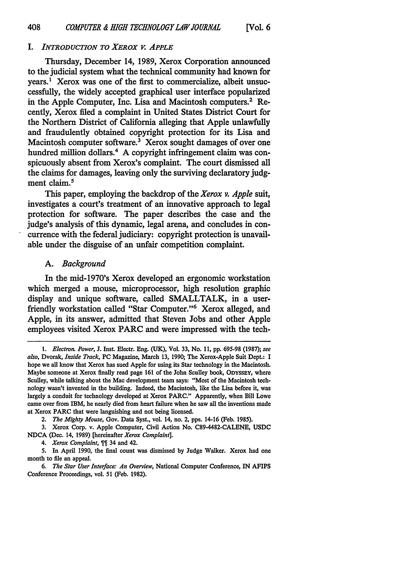#### *I. INTRODUCTION TO XEROX V. APPLE*

Thursday, December 14, 1989, Xerox Corporation announced to the judicial system what the technical community had known for years.' Xerox was one of the first to commercialize, albeit unsuccessfully, the widely accepted graphical user interface popularized in the Apple Computer, Inc. Lisa and Macintosh computers.<sup>2</sup> Recently, Xerox filed a complaint in United States District Court for the Northern District of California alleging that Apple unlawfully and fraudulently obtained copyright protection for its Lisa and Macintosh computer software.<sup>3</sup> Xerox sought damages of over one hundred million dollars.<sup>4</sup> A copyright infringement claim was conspicuously absent from Xerox's complaint. The court dismissed all the claims for damages, leaving only the surviving declaratory judgment claim.<sup>5</sup>

This paper, employing the backdrop of the *Xerox v. Apple* suit, investigates a court's treatment of an innovative approach to legal protection for software. The paper describes the case and the iudge's analysis of this dynamic, legal arena, and concludes in concurrence with the federal judiciary: copyright protection is unavailable under the disguise of an unfair competition complaint.

#### *A. Background*

In the mid-1970's Xerox developed an ergonomic workstation which merged a mouse, microprocessor, high resolution graphic display and unique software, called SMALLTALK, in a userfriendly workstation called "Star Computer."6 Xerox alleged, and Apple, in its answer, admitted that Steven Jobs and other Apple employees visited Xerox PARC and were impressed with the tech-

*<sup>1.</sup> Electron. Power,* J. Inst. Electr. Eng. (UK), Vol. 33, No. 11, pp. 695-98 (1987); *see* also, Dvorak, *Inside Track,* **PC** Magazine, March **13,** 1990; The Xerox-Apple Suit Dept.: I hope we all know that Xerox has sued Apple for using its Star technology in the Macintosh. Maybe someone at Xerox finally read page 161 of the John Sculley book, ODYSSEY, where Sculley, while talking about the Mac development team says: "Most of the Macintosh technology wasn't invented in the building. Indeed, the Macintosh, like the Lisa before it, was largely a conduit for technology developed at Xerox PARC." Apparently, when Bill Lowe came over from IBM, he nearly died from heart failure when he saw all the inventions made at Xerox PARC that were languishing and not being licensed.

*<sup>2.</sup> The Mighty Mouse,* Gov. Data Syst., vol. 14, no. 2, pps. 14-16 (Feb. 1985).

<sup>3.</sup> Xerox Corp. v. Apple Computer, Civil Action No. C89-4482-CALENE, **USDC NDCA** (Dec. 14, 1989) [hereinafter *Xerox Complaint].*

*<sup>4.</sup> Xerox Complaint,* 34 and 42.

<sup>5.</sup> In April 1990, the final count was dismissed by Judge Walker. Xerox had one month to file an appeal.

*<sup>6.</sup> The Star User Interface: An Overview,* National Computer Conference, IN AFIPS Conference Proceedings, vol. 51 (Feb. 1982).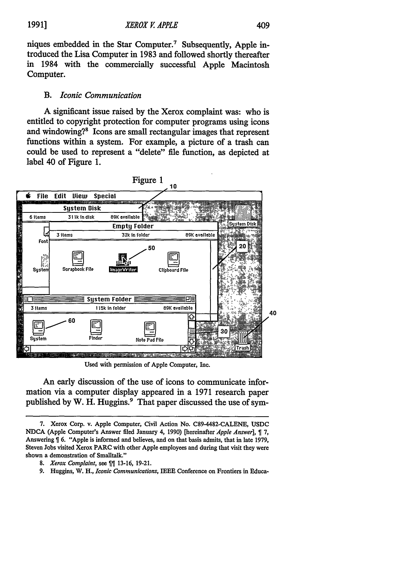niques embedded in the Star Computer.7 Subsequently, Apple introduced the Lisa Computer in **1983** and followed shortly thereafter in 1984 with the commercially successful Apple Macintosh Computer.

# *B. Iconic Communication*

**A** significant issue raised **by** the Xerox complaint was: who is entitled to copyright protection for computer programs using icons and windowing?<sup>8</sup> Icons are small rectangular images that represent functions within a system. For example, a picture of a trash can could be used to represent a "delete" file function, as depicted at label 40 of Figure **1.**



Used with permission of Apple Computer, Inc.

An early discussion of the use of icons to communicate information via a computer display appeared in a **1971** research paper published **by** W. H. Huggins.9 That paper discussed the use of sym-

- 8. *Xerox Complaint*, see  $\left[\right]$  13-16, 19-21.
- 9. Huggins, W. H., *Iconic Communications,* IEEE Conference on Frontiers in Educa-

**<sup>7.</sup>** Xerox Corp. v. Apple Computer, Civil Action No. C89-4482-CALENE, **USDC NDCA** (Apple Computer's Answer **ified** January 4, **1990)** [hereinafter *Apple Answer],* **7,** Answering 6. "Apple is informed and believes, and on that basis admits, that in late **1979,** Steven Jobs visited Xerox PARC with other Apple employees and during that visit they were shown a demonstration of Smalltalk."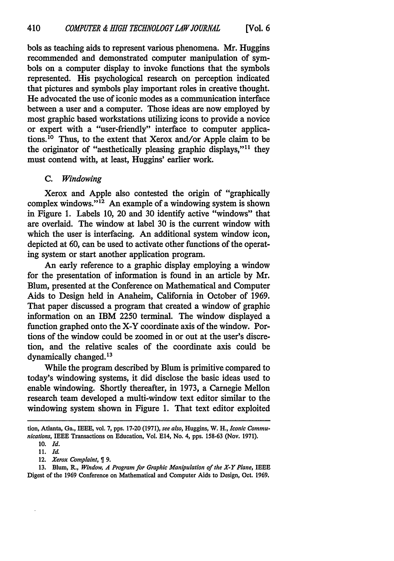bols as teaching aids to represent various phenomena. Mr. Huggins recommended and demonstrated computer manipulation of symbols on a computer display to invoke functions that the symbols represented. His psychological research on perception indicated that pictures and symbols play important roles in creative thought. He advocated the use of iconic modes as a communication interface between a user and a computer. Those ideas are now employed by most graphic based workstations utilizing icons to provide a novice or expert with a "user-friendly" interface to computer applications.<sup>10</sup> Thus, to the extent that Xerox and/or Apple claim to be the originator of "aesthetically pleasing graphic displays,"<sup>11</sup> they must contend with, at least, Huggins' earlier work.

# *C. Windowing*

Xerox and Apple also contested the origin of "graphically complex windows." $^{12}$  An example of a windowing system is shown in Figure 1. Labels 10, 20 and 30 identify active "windows" that are overlaid. The window at label 30 is the current window with which the user is interfacing. An additional system window icon, depicted at **60,** can be used to activate other functions of the operating system or start another application program.

An early reference to a graphic display employing a window for the presentation of information is found in an article by Mr. Blum, presented at the Conference on Mathematical and Computer Aids to Design held in Anaheim, California in October of 1969. That paper discussed a program that created a window of graphic information on an IBM 2250 terminal. The window displayed a function graphed onto the X-Y coordinate axis of the window. Portions of the window could be zoomed in or out at the user's discretion, and the relative scales of the coordinate axis could be dynamically changed.<sup>13</sup>

While the program described by Blum is primitive compared to today's windowing systems, it did disclose the basic ideas used to enable windowing. Shortly thereafter, in 1973, a Carnegie Mellon research team developed a multi-window text editor similar to the windowing system shown in Figure 1. That text editor exploited

13. Blum, R., *Window, A Program for Graphic Manipulation of the X-Y Plane,* IEEE Digest of the 1969 Conference on Mathematical and Computer Aids to Design, Oct. 1969.

tion, Atlanta, Ga., IEEE, vol. 7, pps. 17-20 (1971), *see also,* Huggins, W. H., *Iconic Communications,* IEEE Transactions on Education, Vol. E14, No. 4, pps. 158-63 (Nov. 1971).

<sup>10.</sup> *Id.*

<sup>11.</sup> *Id.*

<sup>12.</sup> *Xerox Complaint*,  $\llbracket 9$ .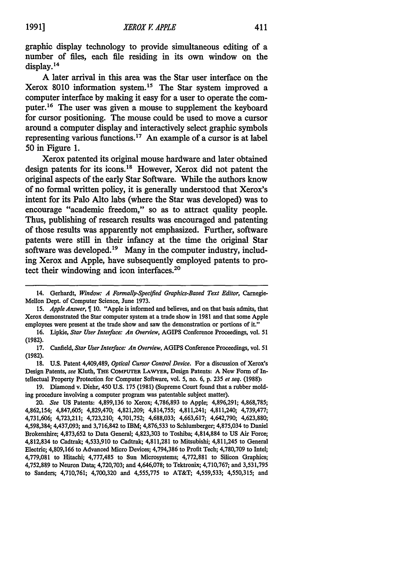graphic display technology to provide simultaneous editing of a number of files, each fie residing in its own window on the display. **<sup>14</sup>**

**A** later arrival in this area was the Star user interface on the Xerox 8010 information system.<sup>15</sup> The Star system improved a computer interface **by** making it easy for a user to operate the computer.16 The user was given a mouse to supplement the keyboard for cursor positioning. The mouse could be used to move a cursor around a computer display and interactively select graphic symbols representing various functions.<sup>17</sup> An example of a cursor is at label **50** in Figure **1.**

Xerox patented its original mouse hardware and later obtained design patents for its icons.<sup>18</sup> However, Xerox did not patent the original aspects of the early Star Software. While the authors know of no formal written policy, it is generally understood that Xerox's intent for its Palo Alto labs (where the Star was developed) was to encourage "academic freedom," so as to attract quality people. Thus, publishing of research results was encouraged and patenting of those results was apparently not emphasized. Further, software patents were still in their infancy at the time the original Star software was developed.<sup>19</sup> Many in the computer industry, including Xerox and Apple, have subsequently employed patents to protect their windowing and icon interfaces.20

19. Diamond v. Diehr, 450 U.S. 175 (1981) (Supreme Court found that a rubber molding procedure involving a computer program was patentable subject matter).

<sup>14.</sup> Gerhardt, *Window: A Formally-Specified Graphics-Based Text Editor,* Carnegie-Mellon Dept. of Computer Science, June 1973.

<sup>15.</sup> *Apple Answer,* 9 10. "Apple is informed and believes, and on that basis admits, that Xerox demonstrated the Star computer system at a trade show in 1981 and that some Apple employees were present at the trade show and saw the demonstration or portions of it."

<sup>16.</sup> Lipkie, *Star User Interface: An Overview,* AGIPS Conference Proceedings, vol. 51 (1982).

<sup>17.</sup> Canfield, *Star User Interface: An Overview,* AGIPS Conference Proceedings, vol. 51 **(1982).**

**<sup>18.</sup> U.S.** Patent 4,409,489, *Optical Cursor Control Device.* For a discussion of Xerox's Design Patents, *see* Kluth, **THE** COMPUTER LAWYER, Design Patents: A New Form of Intellectual Property Protection for Computer Software, vol. 5, no. 6, p. 235 *et seq.* (1988))

<sup>20.</sup> *See* **US** Patents: 4,899,136 to Xerox; 4,786,893 to Apple; 4,896,291; 4,868,785; 4,862,154; 4,847,605; 4,829,470; 4,821,209; 4,814,755; 4,811,241; 4,811,240; 4,739,477; 4,731,606; 4,723,211; 4,723,210; 4,701,752; 4,688,033; 4,663,617; 4,642,790; 4,623,880; 4,598,384; 4,437,093; and 3,716,842 to IBM; 4,876,533 to Schlumberger; 4,875,034 to Daniel Brokenshire; 4,873,652 to Data General; 4,823,303 to Toshiba; 4,814,884 to **US** Air Force; 4,812,834 to Cadtrak; 4,533,910 to Cadtrak; 4,811,281 to Mitsubishi; 4,811,245 to General Electric; 4,809,166 to Advanced Micro Devices; 4,794,386 to Profit Tech; 4,780,709 to Intel; 4,779,081 to Hitachi; 4,777,485 to Sun Microsystems; 4,772,881 to Silicon Graphics; 4,752,889 to Neuron Data; 4,720,703; and 4,646,078; to Tektronix; 4,710,767; and 3,531,795 to Sanders; 4,710,761; 4,700,320 and 4,555,775 to AT&T; 4,559,533; 4,550,315; and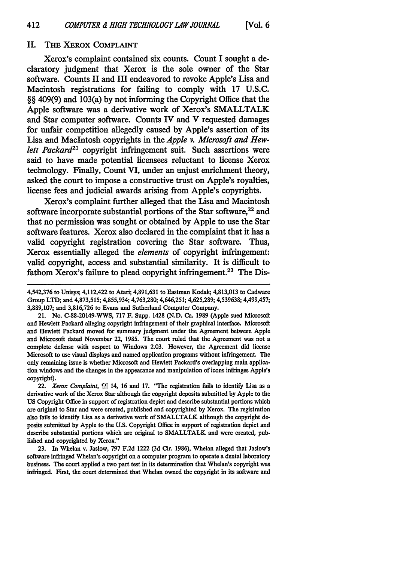# II. **THE XEROX COMPLAINT**

Xerox's complaint contained six counts. Count I sought a declaratory judgment that Xerox is the sole owner of the Star software. Counts II and III endeavored to revoke Apple's Lisa and Macintosh registrations for failing to comply with **17 U.S.C. §§** 409(9) and 103(a) **by** not informing the Copyright Office that the Apple software was a derivative work of Xerox's SMALLTALK and Star computer software. Counts IV and V requested damages for unfair competition allegedly caused **by** Apple's assertion of its Lisa and Macintosh copyrights in the *Apple v. Microsoft and Hewlett Packard21* copyright infringement suit. Such assertions were said to have made potential licensees reluctant to license Xerox technology. Finally, Count VI, under an unjust enrichment theory, asked the court to impose a constructive trust on Apple's royalties, license fees and judicial awards arising from Apple's copyrights.

Xerox's complaint further alleged that the Lisa and Macintosh software incorporate substantial portions of the Star software.<sup>22</sup> and that no permission was sought or obtained **by** Apple to use the Star software features. Xerox also declared in the complaint that it has a valid copyright registration covering the Star software. Thus, Xerox essentially alleged the *elements* of copyright infringement: valid copyright, access and substantial similarity. It is difficult to fathom Xerox's failure to plead copyright infringement. 23 The Dis-

21. No. C-88-20149-WWS, **717** F. Supp. 1428 **(N.D.** Ca. 1989 (Apple sued Microsoft and Hewlett Packard alleging copyright infringement of their graphical interface. Microsoft and Hewlett Packard moved for summary judgment under the Agreement between Apple and Microsoft dated November 22, 1985. The court ruled that the Agreement was not a complete defense with respect to Windows **2.03.** However, the Agreement did license Microsoft to use visual displays and named application programs without infringement. The only remaining issue is whether Microsoft and Hewlett Packard's overlapping main application windows and the changes in the appearance and manipulation of icons infringes Apple's copyright).

22. *Xerox Complaint*,  $\int$  14, 16 and 17. "The registration fails to identify Lisa as a derivative work of the Xerox Star although the copyright deposits submitted **by** Apple to the **US** Copyright Office in support of registration depict and describe substantial portions which are original to Star and were created, published and copyrighted **by** Xerox. The registration also fails to identify Lisa as a derivative work of SMALLTALK although the copyright deposits submitted **by** Apple to the **U.S.** Copyright Office in support of registration depict and describe substantial portions which are original to SMALLTALK and were created, published and copyrighted **by** Xerox."

**23.** In Whelan v. Jaslow, **797 F.2d** 1222 **(3d** Cir. **1986),** Whelan alleged that Jaslow's software infringed Whelan's copyright on a computer program to operate a dental laboratory business. The court applied a two part test in its determination that Whelan's copyright was infringed. First, the court determined that Whelan owned the copyright in its software and

<sup>4,542,376</sup> to Unisys; 4,112,422 to Atari; 4,891,631 to Eastman Kodak; **4,813,013** to Cadware Group LTD; and 4,873,515; 4,855,934; 4,763,280; 4,646,251; 4,625,289; 4,539638; 4,499,457; 3,889,107; and 3,816,726 to Evans and Sutherland Computer Company.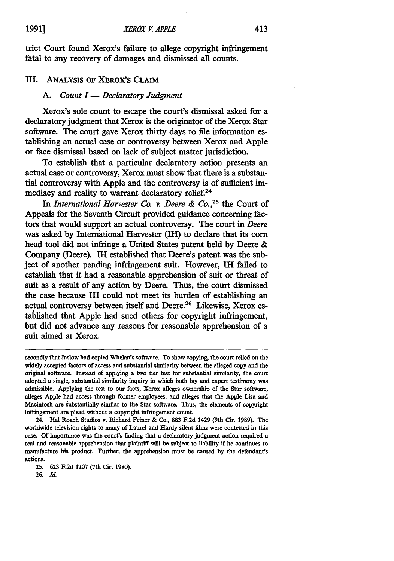trict Court found Xerox's failure to allege copyright infringement fatal to any recovery of damages and dismissed all counts.

# III. ANALYSIS OF XEROX'S CLAIM

# *A. Count I* **-** *Declaratory Judgment*

Xerox's sole count to escape the court's dismissal asked for a declaratory judgment that Xerox is the originator of the Xerox Star software. The court gave Xerox thirty days to file information establishing an actual case or controversy between Xerox and Apple or face dismissal based on lack of subject matter jurisdiction.

To establish that a particular declaratory action presents an actual case or controversy, Xerox must show that there is a substantial controversy with Apple and the controversy is of sufficient immediacy and reality to warrant declaratory relief.<sup>24</sup>

In *International Harvester Co. v. Deere & Co.*<sup>25</sup> the Court of Appeals for the Seventh Circuit provided guidance concerning factors that would support an actual controversy. The court in *Deere* was asked by International Harvester (IH) to declare that its corn head tool did not infringe a United States patent held by Deere & Company (Deere). IH established that Deere's patent was the subject of another pending infringement suit. However, **IH** failed to establish that it had a reasonable apprehension of suit or threat of suit as a result of any action by Deere. Thus, the court dismissed the case because IH could not meet its burden of establishing an actual controversy between itself and Deere.<sup>26</sup> Likewise, Xerox established that Apple had sued others for copyright infringement, but did not advance any reasons for reasonable apprehension of a suit aimed at Xerox.

secondly that Jaslow had copied Whelan's software. To show copying, the court relied on the widely accepted factors of access and substantial similarity between the alleged copy and the original software. Instead of applying a two tier test for substantial similarity, the court adopted a single, substantial similarity inquiry in which both lay and expert testimony was admissible. Applying the test to our facts, Xerox alleges ownership of the Star software, alleges Apple had access through former employees, and alleges that the Apple Lisa and Macintosh are substantially similar to the Star software. Thus, the elements of copyright infringement are plead without a copyright infringement count.

<sup>24.</sup> Hal Roach Studios v. Richard Feiner & Co., **883** F.2d 1429 (9th Cir. 1989). The worldwide television rights to many of Laurel and Hardy silent films were contested in this case. **Of** importance was the court's finding that a declaratory judgment action required a real and reasonable apprehension that plaintiff will be subject to liability if he continues to manufacture his product. Further, the apprehension must be caused **by** the defendant's actions.

<sup>25.</sup> **623** F.2d 1207 (7th Cir. 1980).

**<sup>26.</sup>** Ia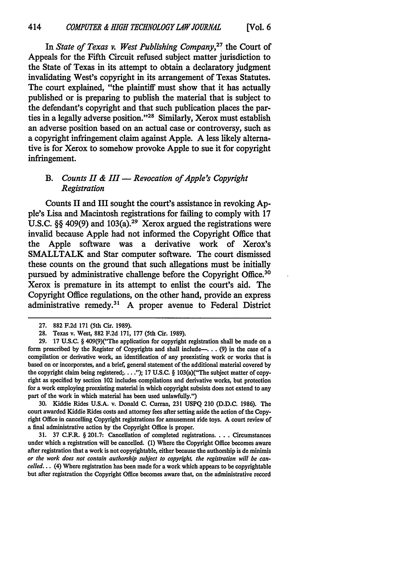In *State of Texas v. West Publishing Company,27* the Court of Appeals for the Fifth Circuit refused subject matter jurisdiction to the State of Texas in its attempt to obtain a declaratory judgment invalidating West's copyright in its arrangement of Texas Statutes. The court explained, "the plaintiff must show that it has actually published or is preparing to publish the material that is subject to the defendant's copyright and that such publication places the parties in a legally adverse position."<sup>28</sup> Similarly, Xerox must establish an adverse position based on an actual case or controversy, such as a copyright infringement claim against Apple. **A** less likely altemative is for Xerox to somehow provoke Apple to sue it for copyright infringement.

# *B. Counts II & III* **-** *Revocation of Apple's Copyright Registration*

Counts II and III sought the court's assistance in revoking **Ap**ple's Lisa and Macintosh registrations for failing to comply with **17 U.S.C. §§** 409(9) and 103(a).29 Xerox argued the registrations were invalid because Apple had not informed the Copyright Office that the Apple software was a derivative work of Xerox's SMALLTALK and Star computer software. The court dismissed these counts on the ground that such allegations must be initially pursued by administrative challenge before the Copyright Office.<sup>30</sup> Xerox is premature in its attempt to enlist the court's aid. The Copyright Office regulations, on the other hand, provide an express administrative remedy.31 **A** proper avenue to Federal District

**29. "17 U.S.C.** § 409(9)("The application for copyright registration shall be made on a form prescribed **by** the Register of Copyrights and shall include-... **(9)** in the case of a compilation or derivative work, an identification of any preexisting work or works that is based on or incorporates, and a brief, general statement of the additional material covered **by** the copyright claim being registered; **.. "); 17 U.S.C.** § 103(a)("The subject matter of copyright as specified **by** section 102 includes compilations and derivative works, but protection for a work employing preexisting material in which copyright subsists does not extend to any part of the work in which material has been used unlawfully.")

**30.** Kiddie Rides **U.S.A.** v. Donald **C.** Curran, **231 USPQ** 210 **(D.D.C. 1986).** The court awarded Kiddie Rides costs and attorney fees after setting aside the action of the **Copy**right Office in cancelling Copyright registrations for amusement ride toys. A court review of a final administrative action **by** the Copyright Office is proper.

31. 37 C.F.R. § 201.7: Cancellation of completed registrations **....** Circumstances under which a registration will be cancelled. **(1)** Where the Copyright Office becomes aware after registration that a work is not copyrightable, either because the authorship is de minimis *or the work does not contain authorship subject to copyright, the registration will be cancelled...* (4) Where registration has been made for a work which appears to be copyrightable but after registration the Copyright Office becomes aware that, on the administrative record

**<sup>27. 882</sup>** F.2d 171 (5th Cir. 1989).

<sup>28.</sup> Texas v. West, **882** F.2d 171, 177 (5th Cir. 1989).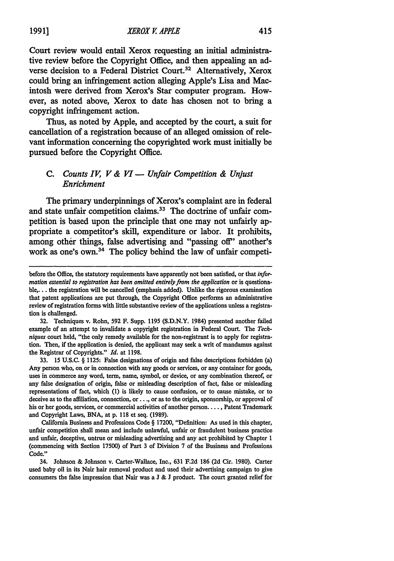Court review would entail Xerox requesting an initial administrative review before the Copyright Office, and then appealing an adverse decision to a Federal District Court.<sup>32</sup> Alternatively, Xerox could bring an infringement action alleging Apple's Lisa and Macintosh were derived from Xerox's Star computer program. However, as noted above, Xerox to date has chosen not to bring a copyright infringement action.

Thus, as noted **by** Apple, and accepted **by** the court, a suit for cancellation of a registration because of an alleged omission of relevant information concerning the copyrighted work must initially be pursued before the Copyright Office.

# *C. Counts IV, V & VI* **-** *Unfair Competition & Unjust Enrichment*

The primary underpinnings of Xerox's complaint are in federal and state unfair competition claims.<sup>33</sup> The doctrine of unfair competition is based upon the principle that one may not unfairly appropriate a competitor's skill, expenditure or labor. It prohibits, among other things, false advertising and "passing off" another's work as one's own.<sup>34</sup> The policy behind the law of unfair competi-

32. Techniques v. Rohn, 592 F. Supp. 1195 (S.D.N.Y. 1984) presented another failed example of an attempt to invalidate a copyright registration in Federal Court. The *Techniques* court held, "the only remedy available for the non-registrant is to apply for registration. Then, if the application is denied, the applicant may seek a writ of mandamus against the Registrar of Copyrights." *Id.* at 1198.

33. 15 **U.S.C.** § 1125: False designations of origin and false descriptions forbidden (a) Any person who, on or in connection with any goods or services, or any container for goods, uses in commerce any word, term, name, symbol, or device, or any combination thereof, or any false designation of origin, false or misleading description of fact, false or misleading representations of fact, which **(1)** is likely to cause confusion, or to cause mistake, or to deceive as to the affiliation, connection, or.. **.,** or as to the origin, sponsorship, or approval of his or her goods, services, or commercial activities of another person **....** Patent Trademark and Copyright Laws, BNA, at p. 118 et seq. (1989).

California Business and Professions Code § 17200, "Definition: As used in this chapter, unfair competition shall mean and include unlawful, unfair or fraudulent business practice and unfair, deceptive, untrue or misleading advertising and any act prohibited by Chapter 1 (commencing with Section 17500) of Part 3 of Division 7 of the Business and Professions Code."

34. Johnson & Johnson v. Carter-Wallace, Inc., 631 F.2d 186 (2d Cir. 1980). Carter used baby oil in its Nair hair removal product and used their advertising campaign to give consumers the false impression that Nair was a J & J product. The court granted relief for

before the Office, the statutory requirements have apparently not been satisfied, or that *information essential to registration has been omitted entirely from the application* or is questionable,.. **.** the registration will be cancelled (emphasis. added). Unlike the rigorous examination that patent applications are put through, the Copyright Office performs an administrative review of registration forms with little substantive review of the applications unless a registration is challenged.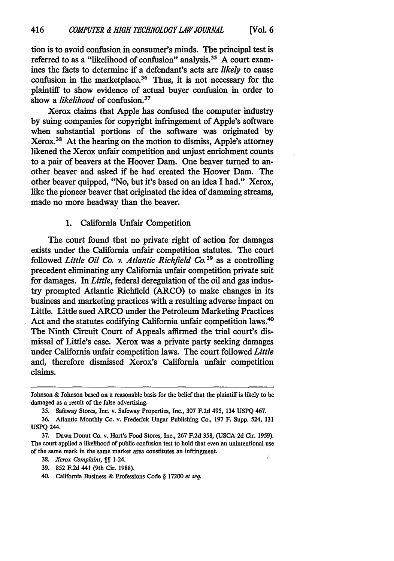tion is to avoid confusion in consumer's minds. The principal test is referred to as a "likelihood of confusion" analysis.<sup>35</sup> A court examines the facts to determine if a defendant's acts are *likely* to cause confusion in the marketplace.<sup>36</sup> Thus, it is not necessary for the plaintiff to show evidence of actual buyer confusion in order to show a *likelihood* of confusion.<sup>37</sup>

Xerox claims that Apple has confused the computer industry by suing companies for copyright infringement of Apple's software when substantial portions of the software was originated by Xerox. 38 At the hearing on the motion to dismiss, Apple's attorney likened the Xerox unfair competition and unjust enrichment counts to a pair of beavers at the Hoover Dam. One beaver turned to another beaver and asked if he had created the Hoover Dam. The other beaver quipped, "No, but it's based on an idea I had." Xerox, like the pioneer beaver that originated the idea of damming streams, made no more headway than the beaver.

# 1. California Unfair Competition

The court found that no private right of action for damages exists under the California unfair competition statutes. The court followed *Little Oil Co. v. Atlantic Richfield Co.3 <sup>9</sup>*as a controlling precedent eliminating any California unfair competition private suit for damages. In *Little,* federal deregulation of the oil and gas industry prompted Atlantic Richfield (ARCO) to make changes in its business and marketing practices with a resulting adverse impact on Little. Little sued ARCO under the Petroleum Marketing Practices Act and the statutes codifying California unfair competition laws.' The Ninth Circuit Court of Appeals affirmed the trial court's dismissal of Little's case. Xerox was a private party seeking damages under California unfair competition laws. The court followed *Little* and, therefore dismissed Xerox's California unfair competition claims.

- **38.** *Xerox Complaint, %%* 1-24.
- 39. **852** F.2d 441 (9th Cir. 1988).
- 40. California Business **&** Professions Code § 17200 *et seq.*

Johnson & Johnson based on a reasonable basis for the belief that the plaintiff is likely to be damaged as a result of the false advertising.

<sup>35.</sup> Safeway Stores, Inc. v. Safeway Properties, Inc., 307 F.2d 495, 134 **USPQ** 467.

<sup>36.</sup> Atlantic Monthly Co. v. Frederick Ungar Publishing Co., 197 F. Supp. 524, 131 **USPQ** 244.

**<sup>37.</sup>** Dawn Donut Co. v. Hart's Food Stores, Inc., **267 F.2d 358, (USCA 2d** Cir. **1959).** The court applied a likelihood of public confusion test to hold that even an unintentional use of the same mark in the same market area constitutes an infringment.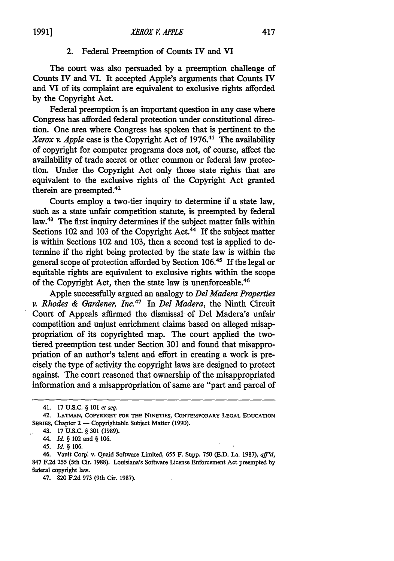# 2. Federal Preemption of Counts IV and **VI**

The court was also persuaded **by** a preemption challenge of Counts IV and VI. It accepted Apple's arguments that Counts IV and VI of its complaint are equivalent to exclusive rights afforded **by** the Copyright Act.

Federal preemption is an important question in any case where Congress has afforded federal protection under constitutional direction. One area where Congress has spoken that is pertinent to the *Xerox v. Apple* case is the Copyright Act of **1976.41** The availability of copyright for computer programs does not, of course, affect the availability of trade secret or other common or federal law protection. Under the Copyright Act only those state rights that are equivalent to the exclusive rights of the Copyright Act granted therein are preempted.42

Courts employ a two-tier inquiry to determine if a state law, such as a state unfair competition statute, is preempted **by** federal law.43 The first inquiry determines if the subject matter falls within Sections 102 and 103 of the Copyright Act.<sup>44</sup> If the subject matter is within Sections 102 and **103,** then a second test is applied to determine **if** the right being protected **by** the state law is within the general scope of protection afforded **by** Section **106.11 If** the legal or equitable rights are equivalent to exclusive rights within the scope of the Copyright Act, then the state law is unenforceable.'

Apple successfully argued an analogy to *Del Madera Properties v. Rhodes & Gardener, Inc.47* In *Del Madera,* the Ninth Circuit Court of Appeals affirmed the dismissal-of Del Madera's unfair competition and unjust enrichment claims based on alleged misappropriation of its copyrighted map. The court applied the twotiered preemption test under Section **301** and found that misappropriation of an author's talent and effort in creating a work is precisely the type of activity the copyright laws are designed to protect against. The court reasoned that ownership of the misappropriated information and a misappropriation of same are "part and parcel of

<sup>41. 17</sup> U.S.C. § 101 *et seq.*

<sup>42.</sup> **LATMAN, COPYRIGHT FOR THE NINETIES, CONTEMPORARY LEGAL EDUCATION** SERIES, Chapter 2 - Copyrightable Subject Matter (1990).

<sup>43. 17</sup> U.S.C. § **301** (1989).

<sup>44.</sup> **Id.** § 102 and § 106.

<sup>45.</sup> *Id. §* **106.**

<sup>46.</sup> Vault Corp\* v. Quaid Software Limited, 655 F. Supp. 750 (E.D. La. **1987),** *aff'd,* 847 F.2d **255** (5th Cir. 1988). Louisiana's Software License Enforcement Act preempted **by** federal copyright law.

<sup>47. 820</sup> F.2d 973 (9th Cir. 1987).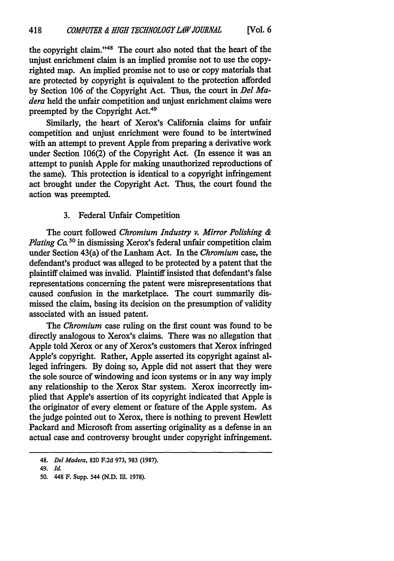the copyright claim."<sup>48</sup> The court also noted that the heart of the unjust enrichment claim is an implied promise not to use the copyrighted map. An implied promise not to use or copy materials that are protected by copyright is equivalent to the protection afforded by Section **106** of the Copyright Act. Thus, the court in *Del Madera* held the unfair competition and unjust enrichment claims were preempted by the Copyright Act.<sup>49</sup>

Similarly, the heart of Xerox's California claims for unfair competition and unjust enrichment were found to be intertwined with an attempt to prevent Apple from preparing a derivative work under Section 106(2) of the Copyright Act. (In essence it was an attempt to punish Apple for making unauthorized reproductions of the same). This protection is identical to a copyright infringement act brought under the Copyright Act. Thus, the court found the action was preempted.

# 3. Federal Unfair Competition

The court followed *Chromium Industry v. Mirror Polishing & Plating Co. <sup>50</sup>*in dismissing Xerox's federal unfair competition claim under Section 43(a) of the Lanham Act. In the *Chromium* case, the defendant's product was alleged to be protected by a patent that the plaintiff claimed was invalid. Plaintiff insisted that defendant's false representations concerning the patent were misrepresentations that caused confusion in the marketplace. The court summarily dismissed the claim, basing its decision on the presumption of validity associated with an issued patent.

The *Chromium* case ruling on the first count was found to be directly analogous to Xerox's claims. There was no allegation that Apple told Xerox or any of Xerox's customers that Xerox infringed Apple's copyright. Rather, Apple asserted its copyright against alleged infringers. By doing so, Apple did not assert that they were the sole source of windowing and icon systems or in any way imply any relationship to the Xerox Star system. Xerox incorrectly implied that Apple's assertion of its copyright indicated that Apple is the originator of every element or feature of the Apple system. As the judge pointed out to Xerox, there is nothing to prevent Hewlett Packard and Microsoft from asserting originality as a defense in an actual case and controversy brought under copyright infringement.

<sup>48.</sup> *Del Madera,* **820** F.2d 973, **983** (1987).

<sup>49.</sup> *Id.*

<sup>50. 448</sup> F. Supp. 544 (N.D. Ill. 1978).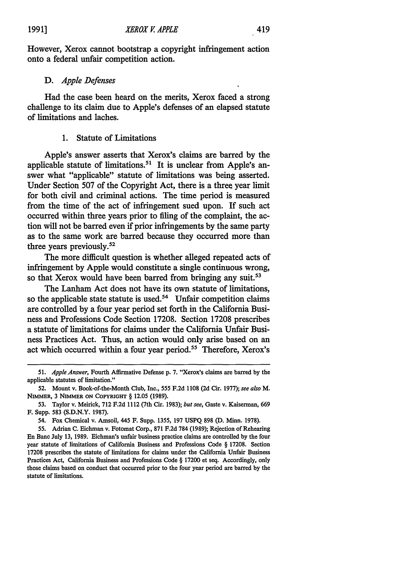However, Xerox cannot bootstrap a copyright infringement action onto a federal unfair competition action.

# *D. Apple Defenses*

Had the case been heard on the merits, Xerox faced a strong challenge to its claim due to Apple's defenses of an elapsed statute of limitations and laches.

# **1.** Statute of Limitations

Apple's answer asserts that Xerox's claims are barred by the applicable statute of limitations.<sup>51</sup> It is unclear from Apple's answer what "applicable" statute of limitations was being asserted. Under Section 507 of the Copyright Act, there is a three year limit for both civil and criminal actions. The time period is measured from the time of the act of infringement sued upon. If such act occurred within three years prior to filing of the complaint, the action will not be barred even if prior infringements by the same party as to the same work are barred because they occurred more than three years previously.52

The more difficult question is whether alleged repeated acts of infringement by Apple would constitute a single continuous wrong, so that Xerox would have been barred from bringing any suit.<sup>53</sup>

The Lanham Act does not have its own statute of limitations, so the applicable state statute is used.<sup>54</sup> Unfair competition claims are controlled by a four year period set forth in the California Business and Professions Code Section 17208. Section 17208 prescribes a statute of limitations for claims under the California Unfair Business Practices Act. Thus, an action would only arise based on an act which occurred within a four year period.<sup>55</sup> Therefore, Xerox's

<sup>51.</sup> *Apple Answer,* Fourth Affirmative Defense p. 7. "Xerox's claims are barred by the applicable statutes of limitation."

<sup>52.</sup> Mount v. Book-of-the-Month Club, Inc., 555 F.2d 1108 (2d Cir. 1977); *see also M.* NIMMER, 3 **NIMMER ON COPYRIGHT** § **12.05 (1989).**

**<sup>53.</sup>** Taylor v. Meirick, **712 F.2d** 1112 (7th Cir. **1983);** *but see,* Gaste v. Kaiserman, **669** F. Supp. 583 **(S.D.N.Y. 1987).**

<sup>54.</sup> Fox Chemical v. Amsoil, 445 F. Supp. 1355, **197 USPQ 898 (D.** Minn. **1978).**

**<sup>55.</sup>** Adrian **C.** Eichman v. Fotomat Corp., **871 F.2d 784 (1989);** Rejection of Rehearing En Banc July **13, 1989.** Eichman's unfair business practice claims are controlled **by** the four year statute of limitations of California Business and Professions Code § **17208.** Section **17208** prescribes the statute of limitations for claims under the California Unfair Business Practices Act, California Business and Professions Code § **17200** et seq. Accordingly, only those claims based on conduct that occurred prior to the four year period are barred **by** the statute of limitations.